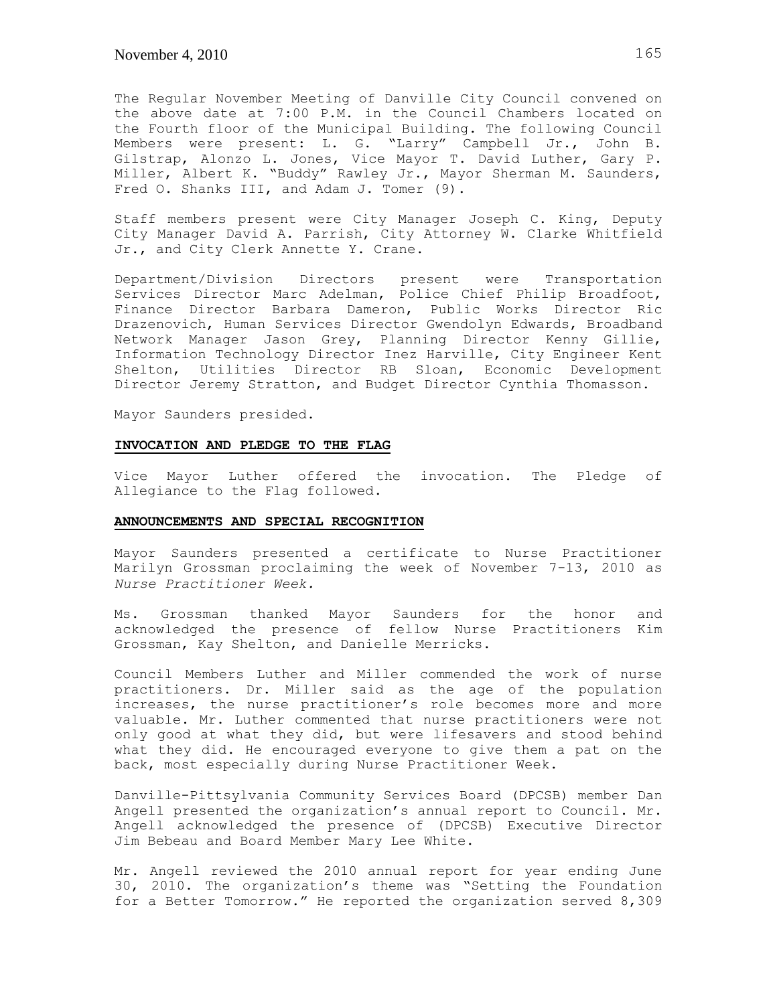The Regular November Meeting of Danville City Council convened on the above date at 7:00 P.M. in the Council Chambers located on the Fourth floor of the Municipal Building. The following Council Members were present: L. G. "Larry" Campbell Jr., John B. Gilstrap, Alonzo L. Jones, Vice Mayor T. David Luther, Gary P. Miller, Albert K. "Buddy" Rawley Jr., Mayor Sherman M. Saunders, Fred O. Shanks III, and Adam J. Tomer (9).

Staff members present were City Manager Joseph C. King, Deputy City Manager David A. Parrish, City Attorney W. Clarke Whitfield Jr., and City Clerk Annette Y. Crane.

Department/Division Directors present were Transportation Services Director Marc Adelman, Police Chief Philip Broadfoot, Finance Director Barbara Dameron, Public Works Director Ric Drazenovich, Human Services Director Gwendolyn Edwards, Broadband Network Manager Jason Grey, Planning Director Kenny Gillie, Information Technology Director Inez Harville, City Engineer Kent Shelton, Utilities Director RB Sloan, Economic Development Director Jeremy Stratton, and Budget Director Cynthia Thomasson.

Mayor Saunders presided.

## **INVOCATION AND PLEDGE TO THE FLAG**

Vice Mayor Luther offered the invocation. The Pledge of Allegiance to the Flag followed.

### **ANNOUNCEMENTS AND SPECIAL RECOGNITION**

Mayor Saunders presented a certificate to Nurse Practitioner Marilyn Grossman proclaiming the week of November 7-13, 2010 as *Nurse Practitioner Week.* 

Ms. Grossman thanked Mayor Saunders for the honor and acknowledged the presence of fellow Nurse Practitioners Kim Grossman, Kay Shelton, and Danielle Merricks.

Council Members Luther and Miller commended the work of nurse practitioners. Dr. Miller said as the age of the population increases, the nurse practitioner's role becomes more and more valuable. Mr. Luther commented that nurse practitioners were not only good at what they did, but were lifesavers and stood behind what they did. He encouraged everyone to give them a pat on the back, most especially during Nurse Practitioner Week.

Danville-Pittsylvania Community Services Board (DPCSB) member Dan Angell presented the organization's annual report to Council. Mr. Angell acknowledged the presence of (DPCSB) Executive Director Jim Bebeau and Board Member Mary Lee White.

Mr. Angell reviewed the 2010 annual report for year ending June 30, 2010. The organization's theme was "Setting the Foundation for a Better Tomorrow." He reported the organization served 8,309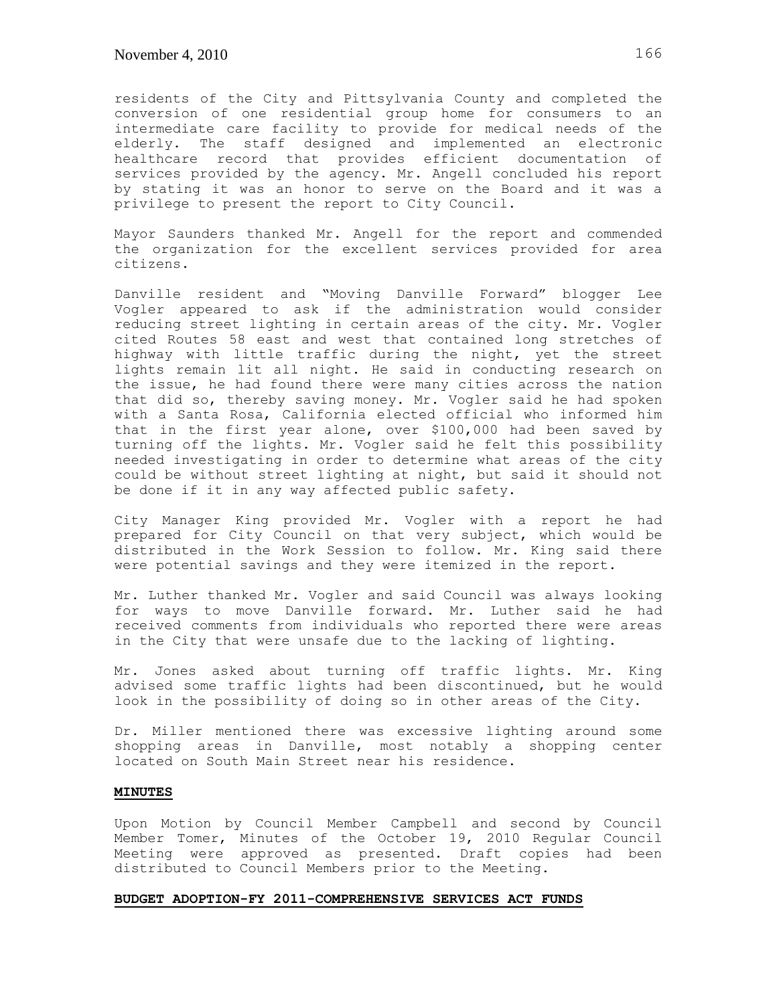residents of the City and Pittsylvania County and completed the conversion of one residential group home for consumers to an intermediate care facility to provide for medical needs of the elderly. The staff designed and implemented an electronic healthcare record that provides efficient documentation of services provided by the agency. Mr. Angell concluded his report by stating it was an honor to serve on the Board and it was a privilege to present the report to City Council.

Mayor Saunders thanked Mr. Angell for the report and commended the organization for the excellent services provided for area citizens.

Danville resident and "Moving Danville Forward" blogger Lee Vogler appeared to ask if the administration would consider reducing street lighting in certain areas of the city. Mr. Vogler cited Routes 58 east and west that contained long stretches of highway with little traffic during the night, yet the street lights remain lit all night. He said in conducting research on the issue, he had found there were many cities across the nation that did so, thereby saving money. Mr. Vogler said he had spoken with a Santa Rosa, California elected official who informed him that in the first year alone, over \$100,000 had been saved by turning off the lights. Mr. Vogler said he felt this possibility needed investigating in order to determine what areas of the city could be without street lighting at night, but said it should not be done if it in any way affected public safety.

City Manager King provided Mr. Vogler with a report he had prepared for City Council on that very subject, which would be distributed in the Work Session to follow. Mr. King said there were potential savings and they were itemized in the report.

Mr. Luther thanked Mr. Vogler and said Council was always looking for ways to move Danville forward. Mr. Luther said he had received comments from individuals who reported there were areas in the City that were unsafe due to the lacking of lighting.

Mr. Jones asked about turning off traffic lights. Mr. King advised some traffic lights had been discontinued, but he would look in the possibility of doing so in other areas of the City.

Dr. Miller mentioned there was excessive lighting around some shopping areas in Danville, most notably a shopping center located on South Main Street near his residence.

## **MINUTES**

Upon Motion by Council Member Campbell and second by Council Member Tomer, Minutes of the October 19, 2010 Regular Council Meeting were approved as presented. Draft copies had been distributed to Council Members prior to the Meeting.

## **BUDGET ADOPTION-FY 2011-COMPREHENSIVE SERVICES ACT FUNDS**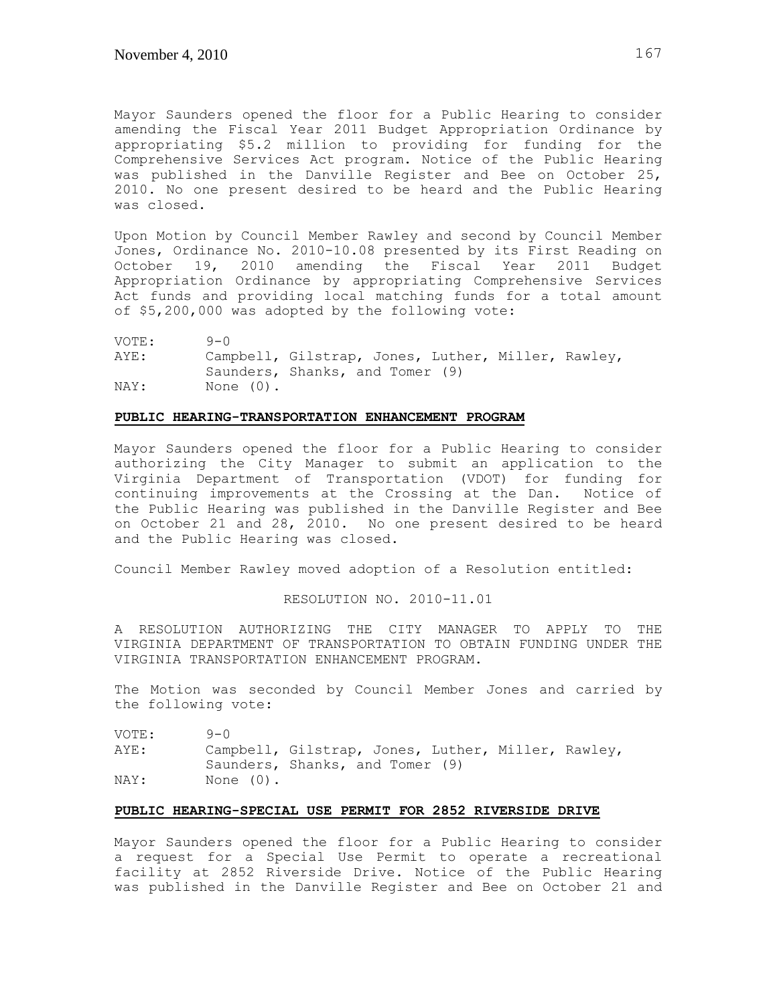Mayor Saunders opened the floor for a Public Hearing to consider amending the Fiscal Year 2011 Budget Appropriation Ordinance by appropriating \$5.2 million to providing for funding for the Comprehensive Services Act program. Notice of the Public Hearing was published in the Danville Register and Bee on October 25, 2010. No one present desired to be heard and the Public Hearing was closed.

Upon Motion by Council Member Rawley and second by Council Member Jones, Ordinance No. 2010-10.08 presented by its First Reading on October 19, 2010 amending the Fiscal Year 2011 Budget Appropriation Ordinance by appropriating Comprehensive Services Act funds and providing local matching funds for a total amount of \$5,200,000 was adopted by the following vote:

| VOTE: | $9 - 0$      |                                                    |  |  |
|-------|--------------|----------------------------------------------------|--|--|
| AYE:  |              | Campbell, Gilstrap, Jones, Luther, Miller, Rawley, |  |  |
|       |              | Saunders, Shanks, and Tomer (9)                    |  |  |
| NAY:  | None $(0)$ . |                                                    |  |  |

## **PUBLIC HEARING-TRANSPORTATION ENHANCEMENT PROGRAM**

Mayor Saunders opened the floor for a Public Hearing to consider authorizing the City Manager to submit an application to the Virginia Department of Transportation (VDOT) for funding for continuing improvements at the Crossing at the Dan. Notice of the Public Hearing was published in the Danville Register and Bee on October 21 and 28, 2010. No one present desired to be heard and the Public Hearing was closed.

Council Member Rawley moved adoption of a Resolution entitled:

RESOLUTION NO. 2010-11.01

A RESOLUTION AUTHORIZING THE CITY MANAGER TO APPLY TO THE VIRGINIA DEPARTMENT OF TRANSPORTATION TO OBTAIN FUNDING UNDER THE VIRGINIA TRANSPORTATION ENHANCEMENT PROGRAM.

The Motion was seconded by Council Member Jones and carried by the following vote:

| VOTE: | $9 - 0$      |                                                    |  |  |
|-------|--------------|----------------------------------------------------|--|--|
| AYE:  |              | Campbell, Gilstrap, Jones, Luther, Miller, Rawley, |  |  |
|       |              | Saunders, Shanks, and Tomer (9)                    |  |  |
| NAY:  | None $(0)$ . |                                                    |  |  |

### **PUBLIC HEARING-SPECIAL USE PERMIT FOR 2852 RIVERSIDE DRIVE**

Mayor Saunders opened the floor for a Public Hearing to consider a request for a Special Use Permit to operate a recreational facility at 2852 Riverside Drive. Notice of the Public Hearing was published in the Danville Register and Bee on October 21 and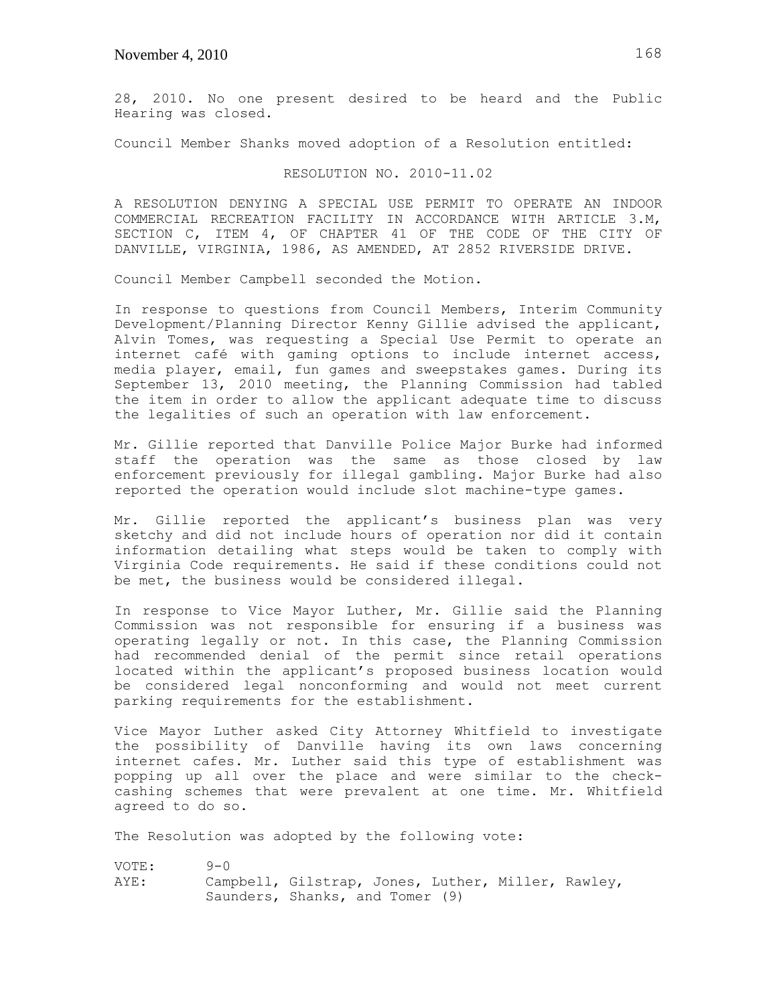28, 2010. No one present desired to be heard and the Public Hearing was closed.

Council Member Shanks moved adoption of a Resolution entitled:

## RESOLUTION NO. 2010-11.02

A RESOLUTION DENYING A SPECIAL USE PERMIT TO OPERATE AN INDOOR COMMERCIAL RECREATION FACILITY IN ACCORDANCE WITH ARTICLE 3.M, SECTION C, ITEM 4, OF CHAPTER 41 OF THE CODE OF THE CITY OF DANVILLE, VIRGINIA, 1986, AS AMENDED, AT 2852 RIVERSIDE DRIVE.

Council Member Campbell seconded the Motion.

In response to questions from Council Members, Interim Community Development/Planning Director Kenny Gillie advised the applicant, Alvin Tomes, was requesting a Special Use Permit to operate an internet café with gaming options to include internet access, media player, email, fun games and sweepstakes games. During its September 13, 2010 meeting, the Planning Commission had tabled the item in order to allow the applicant adequate time to discuss the legalities of such an operation with law enforcement.

Mr. Gillie reported that Danville Police Major Burke had informed staff the operation was the same as those closed by law enforcement previously for illegal gambling. Major Burke had also reported the operation would include slot machine-type games.

Mr. Gillie reported the applicant's business plan was very sketchy and did not include hours of operation nor did it contain information detailing what steps would be taken to comply with Virginia Code requirements. He said if these conditions could not be met, the business would be considered illegal.

In response to Vice Mayor Luther, Mr. Gillie said the Planning Commission was not responsible for ensuring if a business was operating legally or not. In this case, the Planning Commission had recommended denial of the permit since retail operations located within the applicant's proposed business location would be considered legal nonconforming and would not meet current parking requirements for the establishment.

Vice Mayor Luther asked City Attorney Whitfield to investigate the possibility of Danville having its own laws concerning internet cafes. Mr. Luther said this type of establishment was popping up all over the place and were similar to the checkcashing schemes that were prevalent at one time. Mr. Whitfield agreed to do so.

The Resolution was adopted by the following vote:

| VOTE: | $9 - 0$ |                                                    |  |  |
|-------|---------|----------------------------------------------------|--|--|
| AYE:  |         | Campbell, Gilstrap, Jones, Luther, Miller, Rawley, |  |  |
|       |         | Saunders, Shanks, and Tomer (9)                    |  |  |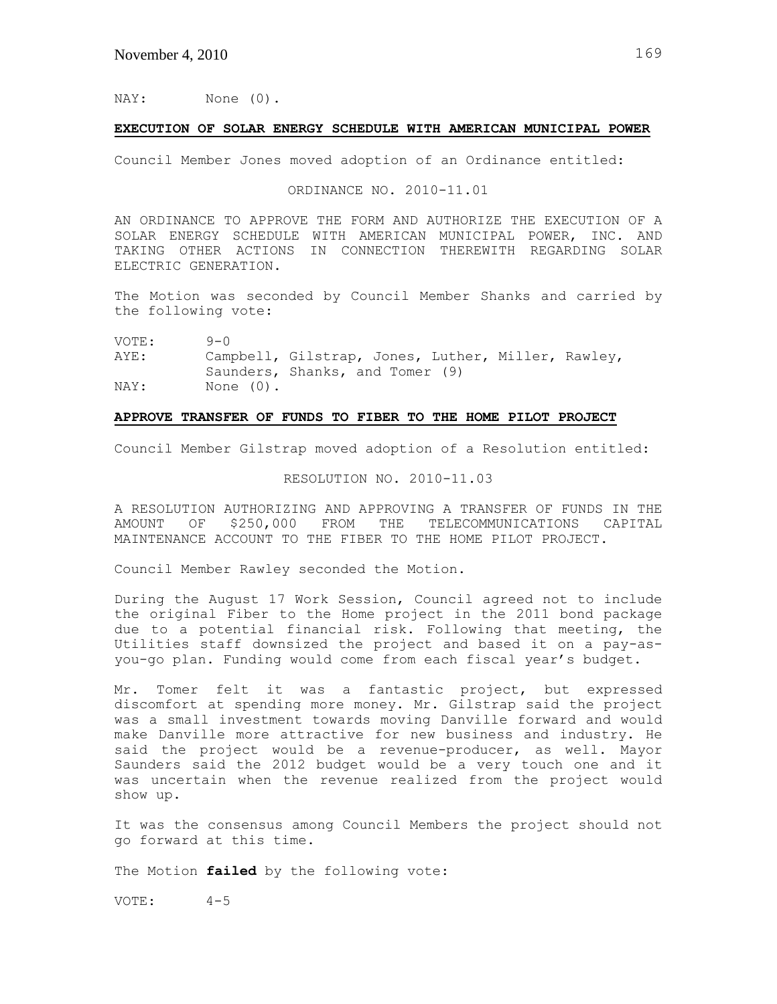NAY: None (0).

## **EXECUTION OF SOLAR ENERGY SCHEDULE WITH AMERICAN MUNICIPAL POWER**

Council Member Jones moved adoption of an Ordinance entitled:

ORDINANCE NO. 2010-11.01

AN ORDINANCE TO APPROVE THE FORM AND AUTHORIZE THE EXECUTION OF A SOLAR ENERGY SCHEDULE WITH AMERICAN MUNICIPAL POWER, INC. AND TAKING OTHER ACTIONS IN CONNECTION THEREWITH REGARDING SOLAR ELECTRIC GENERATION.

The Motion was seconded by Council Member Shanks and carried by the following vote:

VOTE: 9-0

AYE: Campbell, Gilstrap, Jones, Luther, Miller, Rawley, Saunders, Shanks, and Tomer (9) NAY: None (0).

## **APPROVE TRANSFER OF FUNDS TO FIBER TO THE HOME PILOT PROJECT**

Council Member Gilstrap moved adoption of a Resolution entitled:

#### RESOLUTION NO. 2010-11.03

A RESOLUTION AUTHORIZING AND APPROVING A TRANSFER OF FUNDS IN THE AMOUNT OF \$250,000 FROM THE TELECOMMUNICATIONS CAPITAL AMOUNT OF \$250,000 FROM THE TELECOMMUNICATIONS MAINTENANCE ACCOUNT TO THE FIBER TO THE HOME PILOT PROJECT.

Council Member Rawley seconded the Motion.

During the August 17 Work Session, Council agreed not to include the original Fiber to the Home project in the 2011 bond package due to a potential financial risk. Following that meeting, the Utilities staff downsized the project and based it on a pay-asyou-go plan. Funding would come from each fiscal year's budget.

Mr. Tomer felt it was a fantastic project, but expressed discomfort at spending more money. Mr. Gilstrap said the project was a small investment towards moving Danville forward and would make Danville more attractive for new business and industry. He said the project would be a revenue-producer, as well. Mayor Saunders said the 2012 budget would be a very touch one and it was uncertain when the revenue realized from the project would show up.

It was the consensus among Council Members the project should not go forward at this time.

The Motion **failed** by the following vote:

VOTE: 4-5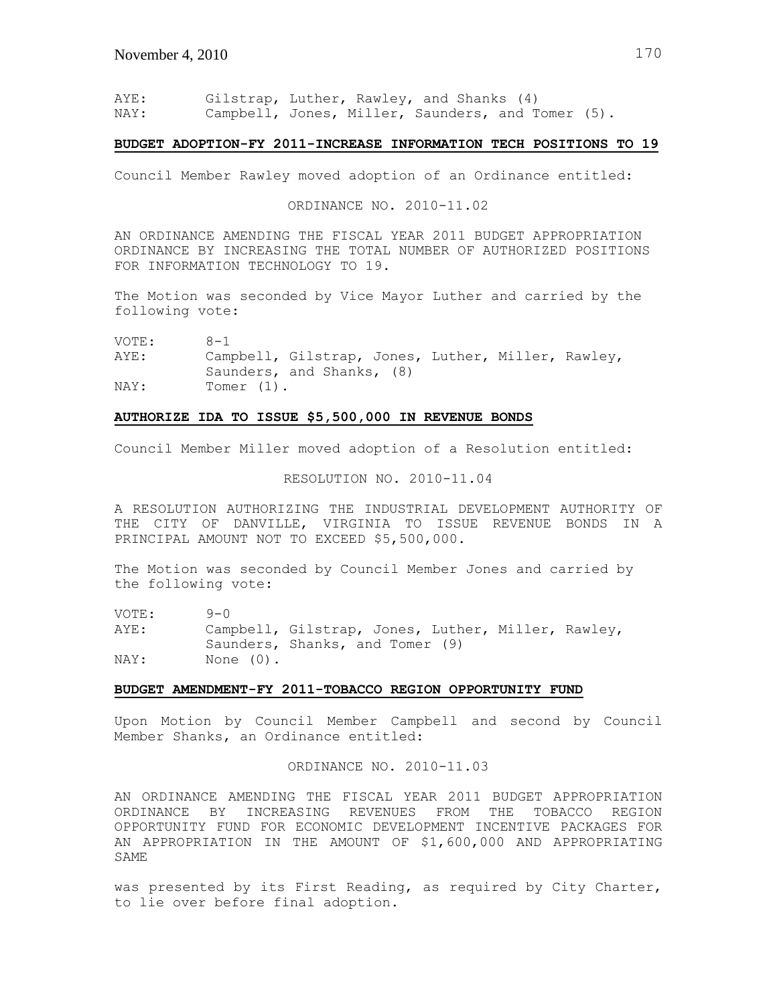AYE: Gilstrap, Luther, Rawley, and Shanks (4) NAY: Campbell, Jones, Miller, Saunders, and Tomer (5).

#### **BUDGET ADOPTION-FY 2011-INCREASE INFORMATION TECH POSITIONS TO 19**

Council Member Rawley moved adoption of an Ordinance entitled:

ORDINANCE NO. 2010-11.02

AN ORDINANCE AMENDING THE FISCAL YEAR 2011 BUDGET APPROPRIATION ORDINANCE BY INCREASING THE TOTAL NUMBER OF AUTHORIZED POSITIONS FOR INFORMATION TECHNOLOGY TO 19.

The Motion was seconded by Vice Mayor Luther and carried by the following vote:

VOTE: 8-1

AYE: Campbell, Gilstrap, Jones, Luther, Miller, Rawley, Saunders, and Shanks, (8) NAY: Tomer (1).

### **AUTHORIZE IDA TO ISSUE \$5,500,000 IN REVENUE BONDS**

Council Member Miller moved adoption of a Resolution entitled:

### RESOLUTION NO. 2010-11.04

A RESOLUTION AUTHORIZING THE INDUSTRIAL DEVELOPMENT AUTHORITY OF THE CITY OF DANVILLE, VIRGINIA TO ISSUE REVENUE BONDS IN A PRINCIPAL AMOUNT NOT TO EXCEED \$5,500,000.

The Motion was seconded by Council Member Jones and carried by the following vote:

VOTE: 9-0 AYE: Campbell, Gilstrap, Jones, Luther, Miller, Rawley, Saunders, Shanks, and Tomer (9) NAY: None (0).

## **BUDGET AMENDMENT-FY 2011-TOBACCO REGION OPPORTUNITY FUND**

Upon Motion by Council Member Campbell and second by Council Member Shanks, an Ordinance entitled:

ORDINANCE NO. 2010-11.03

AN ORDINANCE AMENDING THE FISCAL YEAR 2011 BUDGET APPROPRIATION ORDINANCE BY INCREASING REVENUES FROM THE TOBACCO REGION OPPORTUNITY FUND FOR ECONOMIC DEVELOPMENT INCENTIVE PACKAGES FOR AN APPROPRIATION IN THE AMOUNT OF \$1,600,000 AND APPROPRIATING SAME

was presented by its First Reading, as required by City Charter, to lie over before final adoption.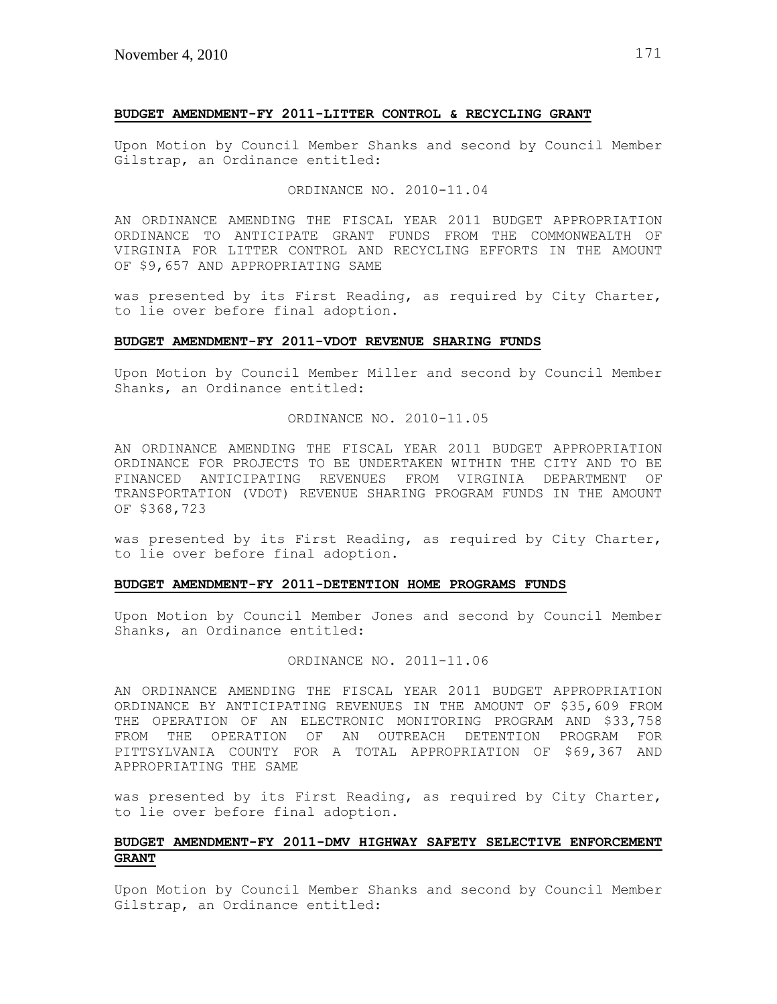### **BUDGET AMENDMENT-FY 2011-LITTER CONTROL & RECYCLING GRANT**

Upon Motion by Council Member Shanks and second by Council Member Gilstrap, an Ordinance entitled:

#### ORDINANCE NO. 2010-11.04

AN ORDINANCE AMENDING THE FISCAL YEAR 2011 BUDGET APPROPRIATION ORDINANCE TO ANTICIPATE GRANT FUNDS FROM THE COMMONWEALTH OF VIRGINIA FOR LITTER CONTROL AND RECYCLING EFFORTS IN THE AMOUNT OF \$9,657 AND APPROPRIATING SAME

was presented by its First Reading, as required by City Charter, to lie over before final adoption.

### **BUDGET AMENDMENT-FY 2011-VDOT REVENUE SHARING FUNDS**

Upon Motion by Council Member Miller and second by Council Member Shanks, an Ordinance entitled:

## ORDINANCE NO. 2010-11.05

AN ORDINANCE AMENDING THE FISCAL YEAR 2011 BUDGET APPROPRIATION ORDINANCE FOR PROJECTS TO BE UNDERTAKEN WITHIN THE CITY AND TO BE FINANCED ANTICIPATING REVENUES FROM VIRGINIA DEPARTMENT OF TRANSPORTATION (VDOT) REVENUE SHARING PROGRAM FUNDS IN THE AMOUNT OF \$368,723

was presented by its First Reading, as required by City Charter, to lie over before final adoption.

### **BUDGET AMENDMENT-FY 2011-DETENTION HOME PROGRAMS FUNDS**

Upon Motion by Council Member Jones and second by Council Member Shanks, an Ordinance entitled:

### ORDINANCE NO. 2011-11.06

AN ORDINANCE AMENDING THE FISCAL YEAR 2011 BUDGET APPROPRIATION ORDINANCE BY ANTICIPATING REVENUES IN THE AMOUNT OF \$35,609 FROM THE OPERATION OF AN ELECTRONIC MONITORING PROGRAM AND \$33,758 FROM THE OPERATION OF AN OUTREACH DETENTION PROGRAM FOR PITTSYLVANIA COUNTY FOR A TOTAL APPROPRIATION OF \$69,367 AND APPROPRIATING THE SAME

was presented by its First Reading, as required by City Charter, to lie over before final adoption.

# **BUDGET AMENDMENT-FY 2011-DMV HIGHWAY SAFETY SELECTIVE ENFORCEMENT GRANT**

Upon Motion by Council Member Shanks and second by Council Member Gilstrap, an Ordinance entitled: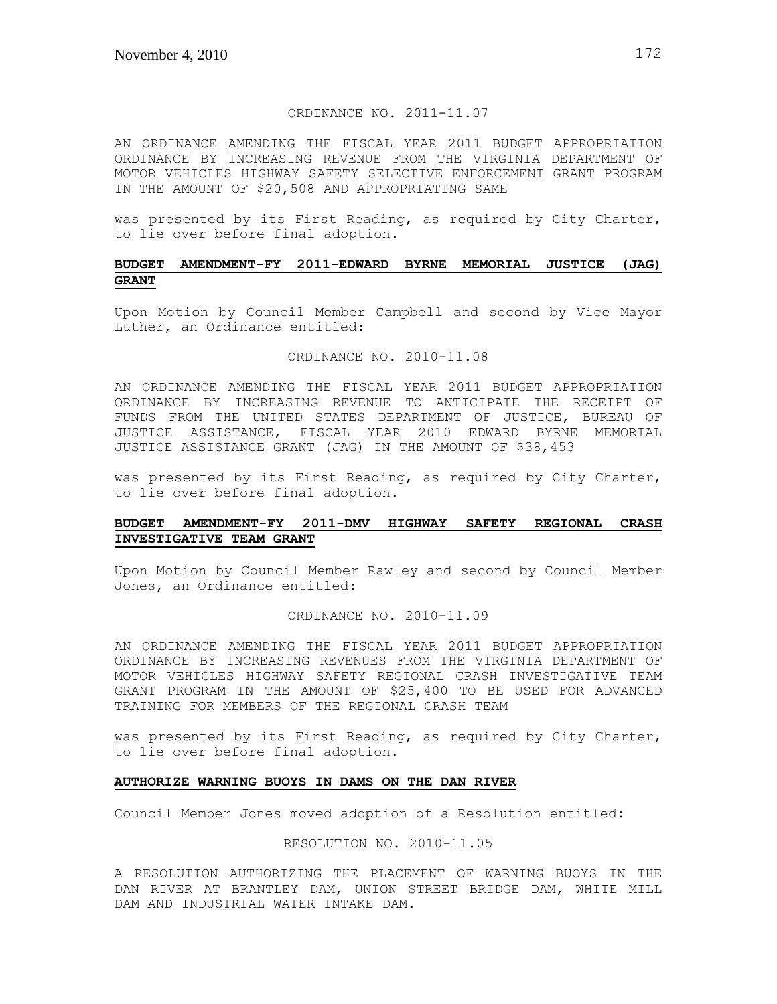## ORDINANCE NO. 2011-11.07

AN ORDINANCE AMENDING THE FISCAL YEAR 2011 BUDGET APPROPRIATION ORDINANCE BY INCREASING REVENUE FROM THE VIRGINIA DEPARTMENT OF MOTOR VEHICLES HIGHWAY SAFETY SELECTIVE ENFORCEMENT GRANT PROGRAM IN THE AMOUNT OF \$20,508 AND APPROPRIATING SAME

was presented by its First Reading, as required by City Charter, to lie over before final adoption.

# **BUDGET AMENDMENT-FY 2011-EDWARD BYRNE MEMORIAL JUSTICE (JAG) GRANT**

Upon Motion by Council Member Campbell and second by Vice Mayor Luther, an Ordinance entitled:

## ORDINANCE NO. 2010-11.08

AN ORDINANCE AMENDING THE FISCAL YEAR 2011 BUDGET APPROPRIATION ORDINANCE BY INCREASING REVENUE TO ANTICIPATE THE RECEIPT OF FUNDS FROM THE UNITED STATES DEPARTMENT OF JUSTICE, BUREAU OF JUSTICE ASSISTANCE, FISCAL YEAR 2010 EDWARD BYRNE MEMORIAL JUSTICE ASSISTANCE GRANT (JAG) IN THE AMOUNT OF \$38,453

was presented by its First Reading, as required by City Charter, to lie over before final adoption.

# **BUDGET AMENDMENT-FY 2011-DMV HIGHWAY SAFETY REGIONAL CRASH INVESTIGATIVE TEAM GRANT**

Upon Motion by Council Member Rawley and second by Council Member Jones, an Ordinance entitled:

#### ORDINANCE NO. 2010-11.09

AN ORDINANCE AMENDING THE FISCAL YEAR 2011 BUDGET APPROPRIATION ORDINANCE BY INCREASING REVENUES FROM THE VIRGINIA DEPARTMENT OF MOTOR VEHICLES HIGHWAY SAFETY REGIONAL CRASH INVESTIGATIVE TEAM GRANT PROGRAM IN THE AMOUNT OF \$25,400 TO BE USED FOR ADVANCED TRAINING FOR MEMBERS OF THE REGIONAL CRASH TEAM

was presented by its First Reading, as required by City Charter, to lie over before final adoption.

#### **AUTHORIZE WARNING BUOYS IN DAMS ON THE DAN RIVER**

Council Member Jones moved adoption of a Resolution entitled:

### RESOLUTION NO. 2010-11.05

A RESOLUTION AUTHORIZING THE PLACEMENT OF WARNING BUOYS IN THE DAN RIVER AT BRANTLEY DAM, UNION STREET BRIDGE DAM, WHITE MILL DAM AND INDUSTRIAL WATER INTAKE DAM.